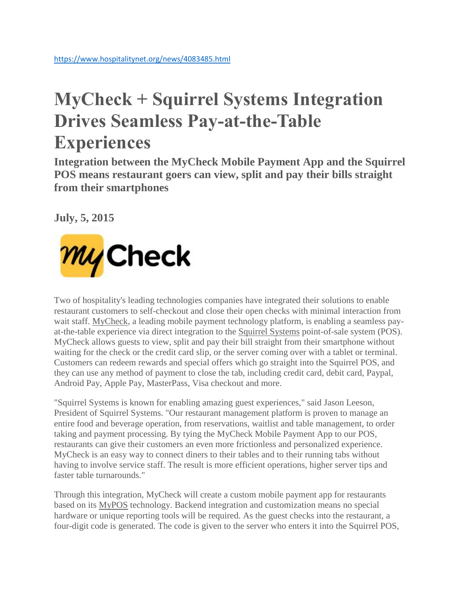## **MyCheck + Squirrel Systems Integration Drives Seamless Pay-at-the-Table Experiences**

**Integration between the MyCheck Mobile Payment App and the Squirrel POS means restaurant goers can view, split and pay their bills straight from their smartphones**

**July, 5, 2015**



Two of hospitality's leading technologies companies have integrated their solutions to enable restaurant customers to self-checkout and close their open checks with minimal interaction from wait staff. [MyCheck,](http://www.mycheckapp.com/) a leading mobile payment technology platform, is enabling a seamless payat-the-table experience via direct integration to the [Squirrel Systems](http://www.squirrelsystems.com/) point-of-sale system (POS). MyCheck allows guests to view, split and pay their bill straight from their smartphone without waiting for the check or the credit card slip, or the server coming over with a tablet or terminal. Customers can redeem rewards and special offers which go straight into the Squirrel POS, and they can use any method of payment to close the tab, including credit card, debit card, Paypal, Android Pay, Apple Pay, MasterPass, Visa checkout and more.

"Squirrel Systems is known for enabling amazing guest experiences," said Jason Leeson, President of Squirrel Systems. "Our restaurant management platform is proven to manage an entire food and beverage operation, from reservations, waitlist and table management, to order taking and payment processing. By tying the MyCheck Mobile Payment App to our POS, restaurants can give their customers an even more frictionless and personalized experience. MyCheck is an easy way to connect diners to their tables and to their running tabs without having to involve service staff. The result is more efficient operations, higher server tips and faster table turnarounds."

Through this integration, MyCheck will create a custom mobile payment app for restaurants based on its [MyPOS](http://www.mycheck.io/capabilities?hsCtaTracking=b45a0d75-1bf8-4135-8809-5997ba172081%7C88edaea0-d2c8-4391-b4b0-5f8d828e330e&__hstc=109978586.13bff0820ccdb41db02fa10fb5fa5418.1482935655684.1489075203389.1490372670853.12&__hssc=109978586.2.1490372670853&__hsfp=233527820) technology. Backend integration and customization means no special hardware or unique reporting tools will be required. As the guest checks into the restaurant, a four-digit code is generated. The code is given to the server who enters it into the Squirrel POS,